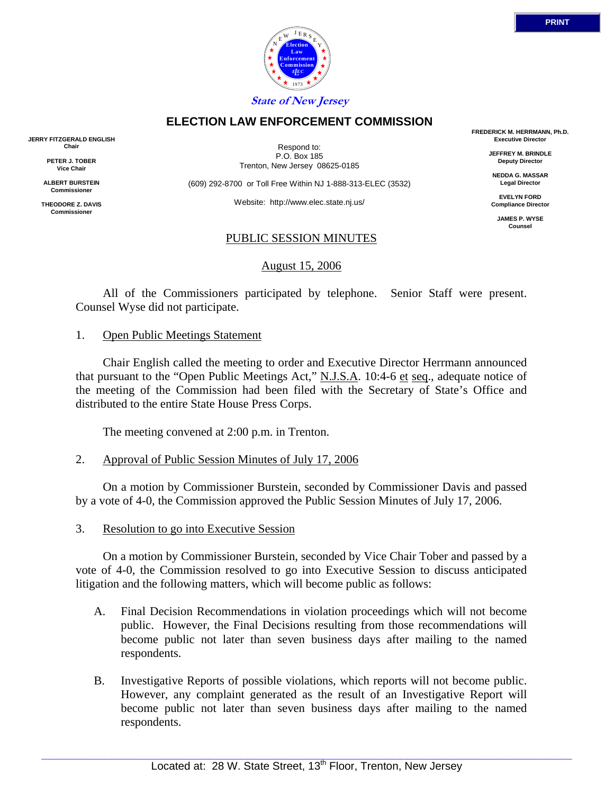

Respond to: P.O. Box 185 Trenton, New Jersey 08625-0185

**ELECTION LAW ENFORCEMENT COMMISSION**

(609) 292-8700 or Toll Free Within NJ 1-888-313-ELEC (3532)

Website: http://www.elec.state.nj.us/

## PUBLIC SESSION MINUTES

August 15, 2006

 All of the Commissioners participated by telephone. Senior Staff were present. Counsel Wyse did not participate.

## 1. Open Public Meetings Statement

 Chair English called the meeting to order and Executive Director Herrmann announced that pursuant to the "Open Public Meetings Act," N.J.S.A. 10:4-6 et seq., adequate notice of the meeting of the Commission had been filed with the Secretary of State's Office and distributed to the entire State House Press Corps.

The meeting convened at 2:00 p.m. in Trenton.

2. Approval of Public Session Minutes of July 17, 2006

 On a motion by Commissioner Burstein, seconded by Commissioner Davis and passed by a vote of 4-0, the Commission approved the Public Session Minutes of July 17, 2006.

3. Resolution to go into Executive Session

 On a motion by Commissioner Burstein, seconded by Vice Chair Tober and passed by a vote of 4-0, the Commission resolved to go into Executive Session to discuss anticipated litigation and the following matters, which will become public as follows:

- A. Final Decision Recommendations in violation proceedings which will not become public. However, the Final Decisions resulting from those recommendations will become public not later than seven business days after mailing to the named respondents.
- B. Investigative Reports of possible violations, which reports will not become public. However, any complaint generated as the result of an Investigative Report will become public not later than seven business days after mailing to the named respondents.

**FREDERICK M. HERRMANN, Ph.D. Executive Director**

> **JEFFREY M. BRINDLE Deputy Director**

**NEDDA G. MASSAR Legal Director**

**EVELYN FORD Compliance Director**

> **JAMES P. WYSE Counsel**



**JERRY FITZGERALD ENGLISH Chair**

> **PETER J. TOBER Vice Chair**

**ALBERT BURSTEIN Commissioner** 

**THEODORE Z. DAVIS Commissione**